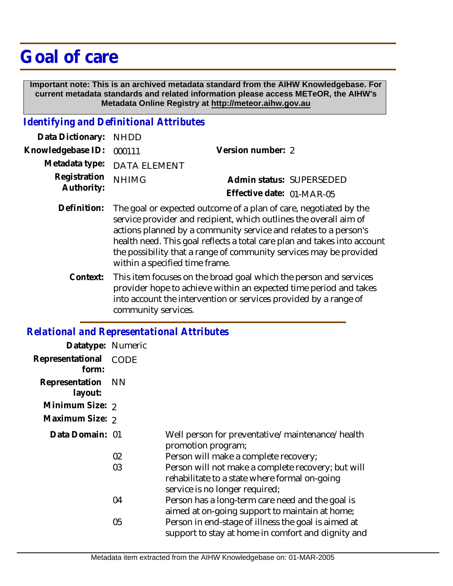## **Goal of care**

 **Important note: This is an archived metadata standard from the AIHW Knowledgebase. For current metadata standards and related information please access METeOR, the AIHW's Metadata Online Registry at http://meteor.aihw.gov.au**

## *Identifying and Definitional Attributes*

| Version number: 2                                                                                                 |
|-------------------------------------------------------------------------------------------------------------------|
|                                                                                                                   |
| Admin status: SUPERSEDED                                                                                          |
| Effective date: 01-MAR-05                                                                                         |
| Data Dictionary: NHDD<br>Knowledgebase ID: 000111<br>Metadata type: DATA ELEMENT<br>Registration <sub>NHIMG</sub> |

- Definition: The goal or expected outcome of a plan of care, negotiated by the service provider and recipient, which outlines the overall aim of actions planned by a community service and relates to a person's health need. This goal reflects a total care plan and takes into account the possibility that a range of community services may be provided within a specified time frame.
	- This item focuses on the broad goal which the person and services provider hope to achieve within an expected time period and takes into account the intervention or services provided by a range of community services. **Context:**

## *Relational and Representational Attributes*

| Datatype: Numeric         |             |                                                                                                                                       |
|---------------------------|-------------|---------------------------------------------------------------------------------------------------------------------------------------|
| Representational<br>form: | <b>CODE</b> |                                                                                                                                       |
| Representation<br>layout: | <b>NN</b>   |                                                                                                                                       |
| Minimum Size: 2           |             |                                                                                                                                       |
| Maximum Size: 2           |             |                                                                                                                                       |
| Data Domain: 01           |             | Well person for preventative/maintenance/health<br>promotion program;                                                                 |
|                           | 02          | Person will make a complete recovery;                                                                                                 |
|                           | 03          | Person will not make a complete recovery; but will<br>rehabilitate to a state where formal on-going<br>service is no longer required; |
|                           | 04          | Person has a long-term care need and the goal is<br>aimed at on-going support to maintain at home;                                    |
|                           | 05          | Person in end-stage of illness the goal is aimed at<br>support to stay at home in comfort and dignity and                             |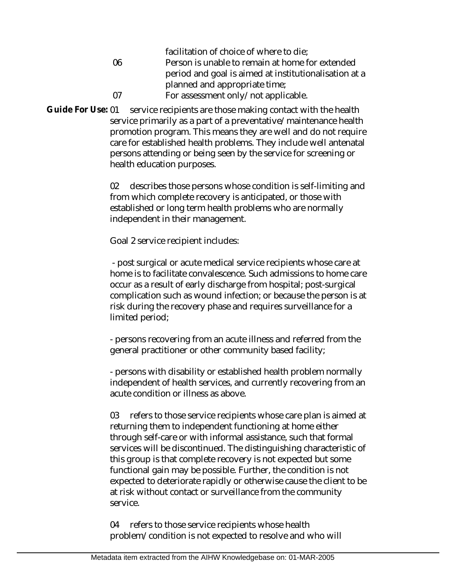|    | facilitation of choice of where to die;               |
|----|-------------------------------------------------------|
| 06 | Person is unable to remain at home for extended       |
|    | period and goal is aimed at institutionalisation at a |
|    | planned and appropriate time;                         |
| በ7 | For assessment only/not applicable.                   |

service recipients are those making contact with the health service primarily as a part of a preventative/maintenance health promotion program. This means they are well and do not require care for established health problems. They include well antenatal persons attending or being seen by the service for screening or health education purposes. **Guide For Use:**

> 02 describes those persons whose condition is self-limiting and from which complete recovery is anticipated, or those with established or long term health problems who are normally independent in their management.

Goal 2 service recipient includes:

 - post surgical or acute medical service recipients whose care at home is to facilitate convalescence. Such admissions to home care occur as a result of early discharge from hospital; post-surgical complication such as wound infection; or because the person is at risk during the recovery phase and requires surveillance for a limited period;

- persons recovering from an acute illness and referred from the general practitioner or other community based facility;

- persons with disability or established health problem normally independent of health services, and currently recovering from an acute condition or illness as above.

03 refers to those service recipients whose care plan is aimed at returning them to independent functioning at home either through self-care or with informal assistance, such that formal services will be discontinued. The distinguishing characteristic of this group is that complete recovery is not expected but some functional gain may be possible. Further, the condition is not expected to deteriorate rapidly or otherwise cause the client to be at risk without contact or surveillance from the community service.

04 refers to those service recipients whose health problem/condition is not expected to resolve and who will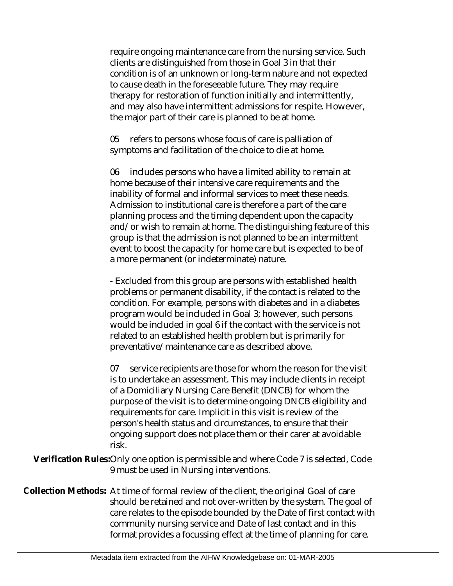require ongoing maintenance care from the nursing service. Such clients are distinguished from those in Goal 3 in that their condition is of an unknown or long-term nature and not expected to cause death in the foreseeable future. They may require therapy for restoration of function initially and intermittently, and may also have intermittent admissions for respite. However, the major part of their care is planned to be at home.

05 refers to persons whose focus of care is palliation of symptoms and facilitation of the choice to die at home.

06 includes persons who have a limited ability to remain at home because of their intensive care requirements and the inability of formal and informal services to meet these needs. Admission to institutional care is therefore a part of the care planning process and the timing dependent upon the capacity and/or wish to remain at home. The distinguishing feature of this group is that the admission is not planned to be an intermittent event to boost the capacity for home care but is expected to be of a more permanent (or indeterminate) nature.

- Excluded from this group are persons with established health problems or permanent disability, if the contact is related to the condition. For example, persons with diabetes and in a diabetes program would be included in Goal 3; however, such persons would be included in goal 6 if the contact with the service is not related to an established health problem but is primarily for preventative/maintenance care as described above.

07 service recipients are those for whom the reason for the visit is to undertake an assessment. This may include clients in receipt of a Domiciliary Nursing Care Benefit (DNCB) for whom the purpose of the visit is to determine ongoing DNCB eligibility and requirements for care. Implicit in this visit is review of the person's health status and circumstances, to ensure that their ongoing support does not place them or their carer at avoidable risk.

Verification Rules:Only one option is permissible and where Code 7 is selected, Code 9 must be used in Nursing interventions.

Collection Methods: At time of formal review of the client, the original Goal of care should be retained and not over-written by the system. The goal of care relates to the episode bounded by the Date of first contact with community nursing service and Date of last contact and in this format provides a focussing effect at the time of planning for care.